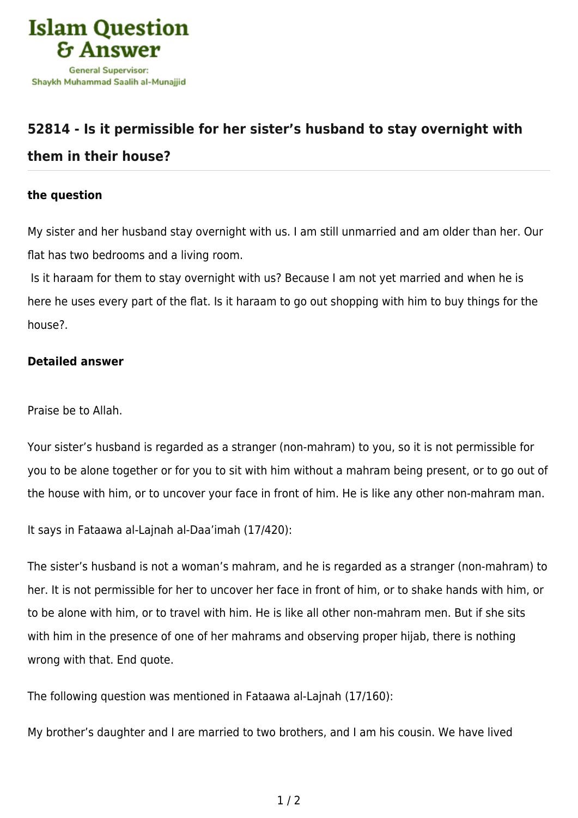

## **[52814 - Is it permissible for her sister's husband to stay overnight with](https://islamqa.info/en/answers/52814/is-it-permissible-for-her-sisters-husband-to-stay-overnight-with-them-in-their-house)**

## **[them in their house?](https://islamqa.info/en/answers/52814/is-it-permissible-for-her-sisters-husband-to-stay-overnight-with-them-in-their-house)**

## **the question**

My sister and her husband stay overnight with us. I am still unmarried and am older than her. Our flat has two bedrooms and a living room.

 Is it haraam for them to stay overnight with us? Because I am not yet married and when he is here he uses every part of the flat. Is it haraam to go out shopping with him to buy things for the house?.

## **Detailed answer**

Praise be to Allah.

Your sister's husband is regarded as a stranger (non-mahram) to you, so it is not permissible for you to be alone together or for you to sit with him without a mahram being present, or to go out of the house with him, or to uncover your face in front of him. He is like any other non-mahram man.

It says in Fataawa al-Lajnah al-Daa'imah (17/420):

The sister's husband is not a woman's mahram, and he is regarded as a stranger (non-mahram) to her. It is not permissible for her to uncover her face in front of him, or to shake hands with him, or to be alone with him, or to travel with him. He is like all other non-mahram men. But if she sits with him in the presence of one of her mahrams and observing proper hijab, there is nothing wrong with that. End quote.

The following question was mentioned in Fataawa al-Lajnah (17/160):

My brother's daughter and I are married to two brothers, and I am his cousin. We have lived